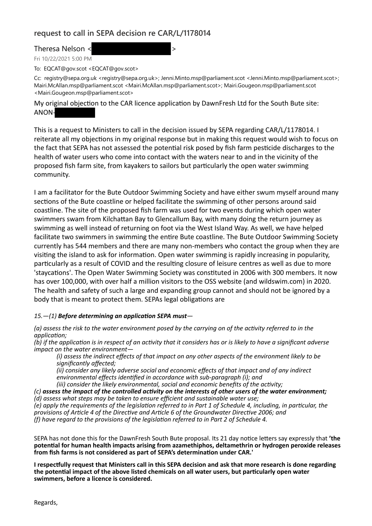## **request to call in SEPA decision re CAR/L/1178014**

Theresa Nelson <  $\sim$ 

Fri 10/22/2021 5:00 PM

To: EQCAT@gov.scot <EQCAT@gov.scot>

Cc: registry@sepa.org.uk <registry@sepa.org.uk>; Jenni.Minto.msp@parliament.scot <Jenni.Minto.msp@parliament.scot>; Mairi.McAllan.msp@parliament.scot <Mairi.McAllan.msp@parliament.scot>; Mairi.Gougeon.msp@parliament.scot <Mairi.Gougeon.msp@parliament.scot>

My original objection to the CAR licence application by DawnFresh Ltd for the South Bute site: ANON-

This is a request to Ministers to call in the decision issued by SEPA regarding CAR/L/1178014. I reiterate all my objections in my original response but in making this request would wish to focus on the fact that SEPA has not assessed the potential risk posed by fish farm pesticide discharges to the health of water users who come into contact with the waters near to and in the vicinity of the proposed fish farm site, from kayakers to sailors but particularly the open water swimming community.

I am a facilitator for the Bute Outdoor Swimming Society and have either swum myself around many sections of the Bute coastline or helped facilitate the swimming of other persons around said coastline. The site of the proposed fish farm was used for two events during which open water swimmers swam from Kilchattan Bay to Glencallum Bay, with many doing the return journey as swimming as well instead of returning on foot via the West Island Way. As well, we have helped facilitate two swimmers in swimming the entire Bute coastline. The Bute Outdoor Swimming Society currently has 544 members and there are many non-members who contact the group when they are visiting the island to ask for information. Open water swimming is rapidly increasing in popularity, particularly as a result of COVID and the resulting closure of leisure centres as well as due to more 'staycations'. The Open Water Swimming Society was constituted in 2006 with 300 members. It now has over 100,000, with over half a million visitors to the OSS website (and wildswim.com) in 2020. The health and safety of such a large and expanding group cannot and should not be ignored by a body that is meant to protect them. SEPAs legal obligations are

## *15.—(1) Before determining an application SEPA must—*

*(a) assess the risk to the water environment posed by the carrying on of the activity referred to in the application;*

*(b) if the application is in respect of an activity that it considers has or is likely to have a significant adverse impact on the water environment—*

*(i) assess the indirect effects of that impact on any other aspects of the environment likely to be significantly affected;*

*(ii) consider any likely adverse social and economic effects of that impact and of any indirect environmental effects identified in accordance with sub-paragraph (i); and*

*(iii) consider the likely environmental, social and economic benefits of the activity;*

*(c) assess the impact of the controlled activity on the interests of other users of the water environment; (d) assess what steps may be taken to ensure efficient and sustainable water use;*

*(e) apply the requirements of the legislation referred to in Part 1 of Schedule 4, including, in particular, the provisions of Article 4 of the Directive and Article 6 of the Groundwater Directive 2006; and (f) have regard to the provisions of the legislation referred to in Part 2 of Schedule 4.*

SEPA has not done this for the DawnFresh South Bute proposal. Its 21 day notice letters say expressly that **'the potential for human health impacts arising from azamethiphos, deltamethrin or hydrogen peroxide releases from fish farms is not considered as part of SEPA's determination under CAR.'**

**I respectfully request that Ministers call in this SEPA decision and ask that more research is done regarding the potential impact of the above listed chemicals on all water users, but particularly open water swimmers, before a licence is considered.**